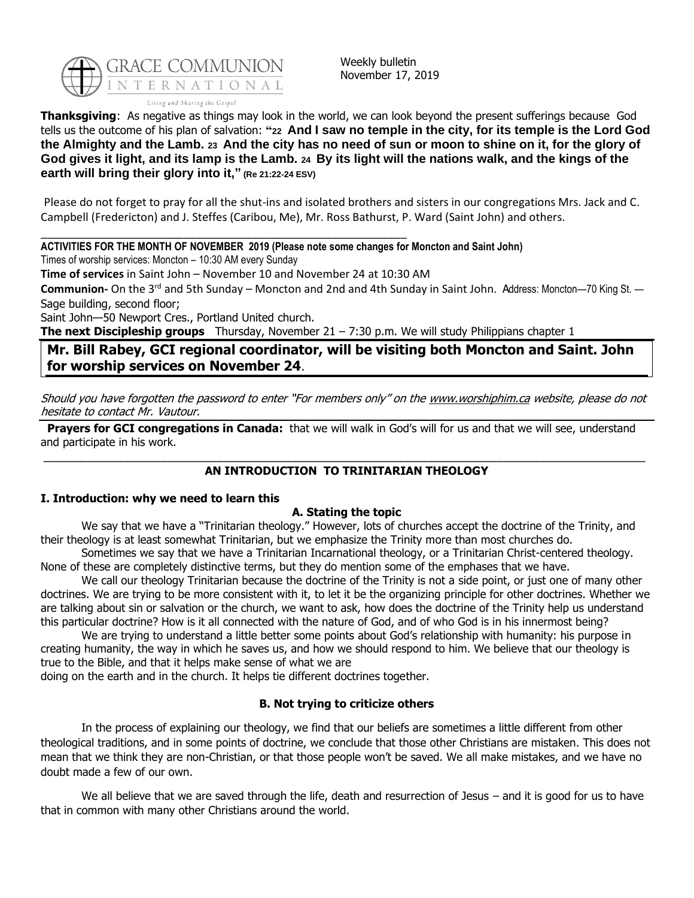

Weekly bulletin November 17, 2019

**Thanksgiving**: As negative as things may look in the world, we can look beyond the present sufferings because God tells us the outcome of his plan of salvation: **"<sup>22</sup> And I saw no temple in the city, for its temple is the Lord God the Almighty and the Lamb. <sup>23</sup> And the city has no need of sun or moon to shine on it, for the glory of God gives it light, and its lamp is the Lamb. <sup>24</sup> By its light will the nations walk, and the kings of the earth will bring their glory into it," (Re 21:22-24 ESV)**

Please do not forget to pray for all the shut-ins and isolated brothers and sisters in our congregations Mrs. Jack and C. Campbell (Fredericton) and J. Steffes (Caribou, Me), Mr. Ross Bathurst, P. Ward (Saint John) and others.

\_\_\_\_\_\_\_\_\_\_\_\_\_\_\_\_\_\_\_\_\_\_\_\_\_\_\_\_\_\_\_\_\_\_\_\_\_\_\_\_\_\_\_\_\_\_\_\_\_\_\_\_\_\_\_\_\_\_\_ **ACTIVITIES FOR THE MONTH OF NOVEMBER 2019 (Please note some changes for Moncton and Saint John)**

Times of worship services: Moncton – 10:30 AM every Sunday

**Time of services** in Saint John – November 10 and November 24 at 10:30 AM

**Communion-** On the 3rd and 5th Sunday – Moncton and 2nd and 4th Sunday in Saint John. Address: Moncton—70 King St. — Sage building, second floor;

Saint John—50 Newport Cres., Portland United church.

**The next Discipleship groups** Thursday, November 21 – 7:30 p.m. We will study Philippians chapter 1

**Mr. Bill Rabey, GCI regional coordinator, will be visiting both Moncton and Saint. John for worship services on November 24**.

Should you have forgotten the password to enter "For members only" on the [www.worshiphim.ca](http://www.worshiphim.ca/) website, please do not hesitate to contact Mr. Vautour.

**Prayers for GCI congregations in Canada:** that we will walk in God's will for us and that we will see, understand and participate in his work.

## \_\_\_\_\_\_\_\_\_\_\_\_\_\_\_\_\_\_\_\_\_\_\_\_\_\_\_\_\_\_\_\_\_\_\_\_\_\_\_\_\_\_\_\_\_\_\_\_\_\_\_\_\_\_\_\_\_\_\_\_\_\_\_\_\_\_\_\_\_\_\_\_\_\_\_\_\_\_\_\_\_\_\_\_\_\_\_\_\_\_\_\_\_\_\_\_\_ **AN INTRODUCTION TO TRINITARIAN THEOLOGY**

### **I. Introduction: why we need to learn this**

## **A. Stating the topic**

We say that we have a "Trinitarian theology." However, lots of churches accept the doctrine of the Trinity, and their theology is at least somewhat Trinitarian, but we emphasize the Trinity more than most churches do.

Sometimes we say that we have a Trinitarian Incarnational theology, or a Trinitarian Christ-centered theology. None of these are completely distinctive terms, but they do mention some of the emphases that we have.

We call our theology Trinitarian because the doctrine of the Trinity is not a side point, or just one of many other doctrines. We are trying to be more consistent with it, to let it be the organizing principle for other doctrines. Whether we are talking about sin or salvation or the church, we want to ask, how does the doctrine of the Trinity help us understand this particular doctrine? How is it all connected with the nature of God, and of who God is in his innermost being?

We are trying to understand a little better some points about God's relationship with humanity: his purpose in creating humanity, the way in which he saves us, and how we should respond to him. We believe that our theology is true to the Bible, and that it helps make sense of what we are

doing on the earth and in the church. It helps tie different doctrines together.

## **B. Not trying to criticize others**

In the process of explaining our theology, we find that our beliefs are sometimes a little different from other theological traditions, and in some points of doctrine, we conclude that those other Christians are mistaken. This does not mean that we think they are non-Christian, or that those people won't be saved. We all make mistakes, and we have no doubt made a few of our own.

We all believe that we are saved through the life, death and resurrection of Jesus – and it is good for us to have that in common with many other Christians around the world.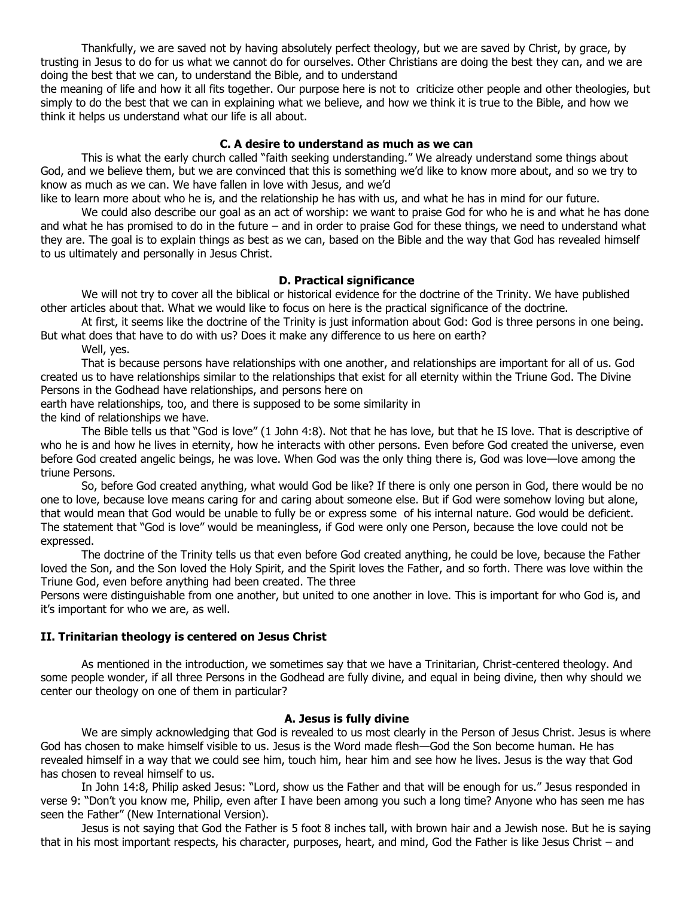Thankfully, we are saved not by having absolutely perfect theology, but we are saved by Christ, by grace, by trusting in Jesus to do for us what we cannot do for ourselves. Other Christians are doing the best they can, and we are doing the best that we can, to understand the Bible, and to understand

the meaning of life and how it all fits together. Our purpose here is not to criticize other people and other theologies, but simply to do the best that we can in explaining what we believe, and how we think it is true to the Bible, and how we think it helps us understand what our life is all about.

### **C. A desire to understand as much as we can**

This is what the early church called "faith seeking understanding." We already understand some things about God, and we believe them, but we are convinced that this is something we'd like to know more about, and so we try to know as much as we can. We have fallen in love with Jesus, and we'd

like to learn more about who he is, and the relationship he has with us, and what he has in mind for our future.

We could also describe our goal as an act of worship: we want to praise God for who he is and what he has done and what he has promised to do in the future – and in order to praise God for these things, we need to understand what they are. The goal is to explain things as best as we can, based on the Bible and the way that God has revealed himself to us ultimately and personally in Jesus Christ.

## **D. Practical significance**

We will not try to cover all the biblical or historical evidence for the doctrine of the Trinity. We have published other articles about that. What we would like to focus on here is the practical significance of the doctrine.

At first, it seems like the doctrine of the Trinity is just information about God: God is three persons in one being. But what does that have to do with us? Does it make any difference to us here on earth?

Well, yes.

That is because persons have relationships with one another, and relationships are important for all of us. God created us to have relationships similar to the relationships that exist for all eternity within the Triune God. The Divine Persons in the Godhead have relationships, and persons here on

earth have relationships, too, and there is supposed to be some similarity in

the kind of relationships we have.

The Bible tells us that "God is love" (1 John 4:8). Not that he has love, but that he IS love. That is descriptive of who he is and how he lives in eternity, how he interacts with other persons. Even before God created the universe, even before God created angelic beings, he was love. When God was the only thing there is, God was love—love among the triune Persons.

So, before God created anything, what would God be like? If there is only one person in God, there would be no one to love, because love means caring for and caring about someone else. But if God were somehow loving but alone, that would mean that God would be unable to fully be or express some of his internal nature. God would be deficient. The statement that "God is love" would be meaningless, if God were only one Person, because the love could not be expressed.

The doctrine of the Trinity tells us that even before God created anything, he could be love, because the Father loved the Son, and the Son loved the Holy Spirit, and the Spirit loves the Father, and so forth. There was love within the Triune God, even before anything had been created. The three

Persons were distinguishable from one another, but united to one another in love. This is important for who God is, and it's important for who we are, as well.

### **II. Trinitarian theology is centered on Jesus Christ**

As mentioned in the introduction, we sometimes say that we have a Trinitarian, Christ-centered theology. And some people wonder, if all three Persons in the Godhead are fully divine, and equal in being divine, then why should we center our theology on one of them in particular?

#### **A. Jesus is fully divine**

We are simply acknowledging that God is revealed to us most clearly in the Person of Jesus Christ. Jesus is where God has chosen to make himself visible to us. Jesus is the Word made flesh—God the Son become human. He has revealed himself in a way that we could see him, touch him, hear him and see how he lives. Jesus is the way that God has chosen to reveal himself to us.

In John 14:8, Philip asked Jesus: "Lord, show us the Father and that will be enough for us." Jesus responded in verse 9: "Don't you know me, Philip, even after I have been among you such a long time? Anyone who has seen me has seen the Father" (New International Version).

Jesus is not saying that God the Father is 5 foot 8 inches tall, with brown hair and a Jewish nose. But he is saying that in his most important respects, his character, purposes, heart, and mind, God the Father is like Jesus Christ – and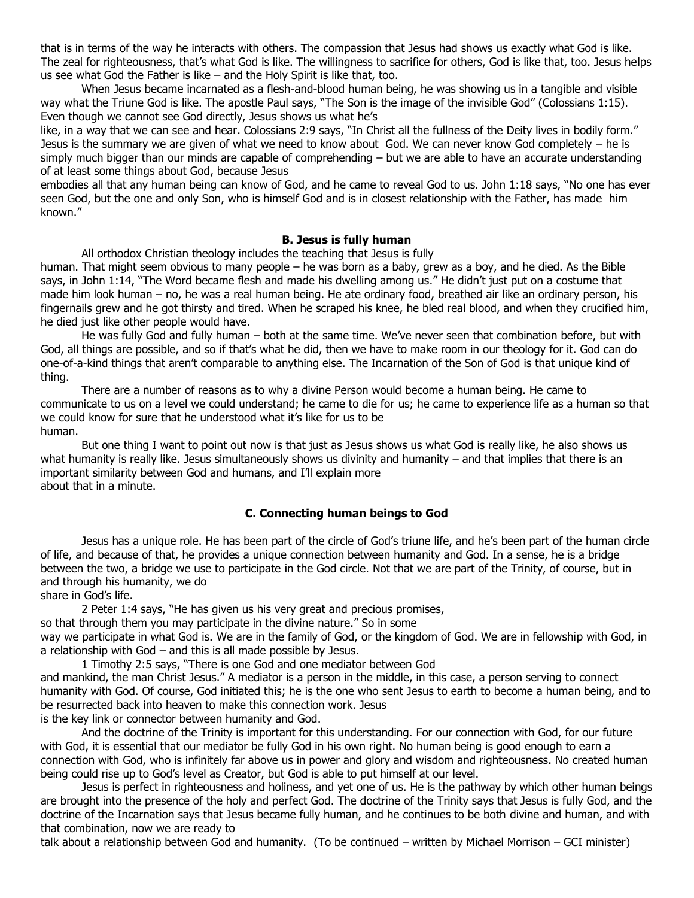that is in terms of the way he interacts with others. The compassion that Jesus had shows us exactly what God is like. The zeal for righteousness, that's what God is like. The willingness to sacrifice for others, God is like that, too. Jesus helps us see what God the Father is like – and the Holy Spirit is like that, too.

When Jesus became incarnated as a flesh-and-blood human being, he was showing us in a tangible and visible way what the Triune God is like. The apostle Paul says, "The Son is the image of the invisible God" (Colossians 1:15). Even though we cannot see God directly, Jesus shows us what he's

like, in a way that we can see and hear. Colossians 2:9 says, "In Christ all the fullness of the Deity lives in bodily form." Jesus is the summary we are given of what we need to know about God. We can never know God completely – he is simply much bigger than our minds are capable of comprehending – but we are able to have an accurate understanding of at least some things about God, because Jesus

embodies all that any human being can know of God, and he came to reveal God to us. John 1:18 says, "No one has ever seen God, but the one and only Son, who is himself God and is in closest relationship with the Father, has made him known."

### **B. Jesus is fully human**

All orthodox Christian theology includes the teaching that Jesus is fully

human. That might seem obvious to many people – he was born as a baby, grew as a boy, and he died. As the Bible says, in John 1:14, "The Word became flesh and made his dwelling among us." He didn't just put on a costume that made him look human – no, he was a real human being. He ate ordinary food, breathed air like an ordinary person, his fingernails grew and he got thirsty and tired. When he scraped his knee, he bled real blood, and when they crucified him, he died just like other people would have.

He was fully God and fully human – both at the same time. We've never seen that combination before, but with God, all things are possible, and so if that's what he did, then we have to make room in our theology for it. God can do one-of-a-kind things that aren't comparable to anything else. The Incarnation of the Son of God is that unique kind of thing.

There are a number of reasons as to why a divine Person would become a human being. He came to communicate to us on a level we could understand; he came to die for us; he came to experience life as a human so that we could know for sure that he understood what it's like for us to be human.

But one thing I want to point out now is that just as Jesus shows us what God is really like, he also shows us what humanity is really like. Jesus simultaneously shows us divinity and humanity  $-$  and that implies that there is an important similarity between God and humans, and I'll explain more about that in a minute.

## **C. Connecting human beings to God**

Jesus has a unique role. He has been part of the circle of God's triune life, and he's been part of the human circle of life, and because of that, he provides a unique connection between humanity and God. In a sense, he is a bridge between the two, a bridge we use to participate in the God circle. Not that we are part of the Trinity, of course, but in and through his humanity, we do

share in God's life.

2 Peter 1:4 says, "He has given us his very great and precious promises,

so that through them you may participate in the divine nature." So in some

way we participate in what God is. We are in the family of God, or the kingdom of God. We are in fellowship with God, in a relationship with God – and this is all made possible by Jesus.

1 Timothy 2:5 says, "There is one God and one mediator between God and mankind, the man Christ Jesus." A mediator is a person in the middle, in this case, a person serving to connect humanity with God. Of course, God initiated this; he is the one who sent Jesus to earth to become a human being, and to be resurrected back into heaven to make this connection work. Jesus is the key link or connector between humanity and God.

And the doctrine of the Trinity is important for this understanding. For our connection with God, for our future with God, it is essential that our mediator be fully God in his own right. No human being is good enough to earn a connection with God, who is infinitely far above us in power and glory and wisdom and righteousness. No created human being could rise up to God's level as Creator, but God is able to put himself at our level.

Jesus is perfect in righteousness and holiness, and yet one of us. He is the pathway by which other human beings are brought into the presence of the holy and perfect God. The doctrine of the Trinity says that Jesus is fully God, and the doctrine of the Incarnation says that Jesus became fully human, and he continues to be both divine and human, and with that combination, now we are ready to

talk about a relationship between God and humanity. (To be continued – written by Michael Morrison – GCI minister)